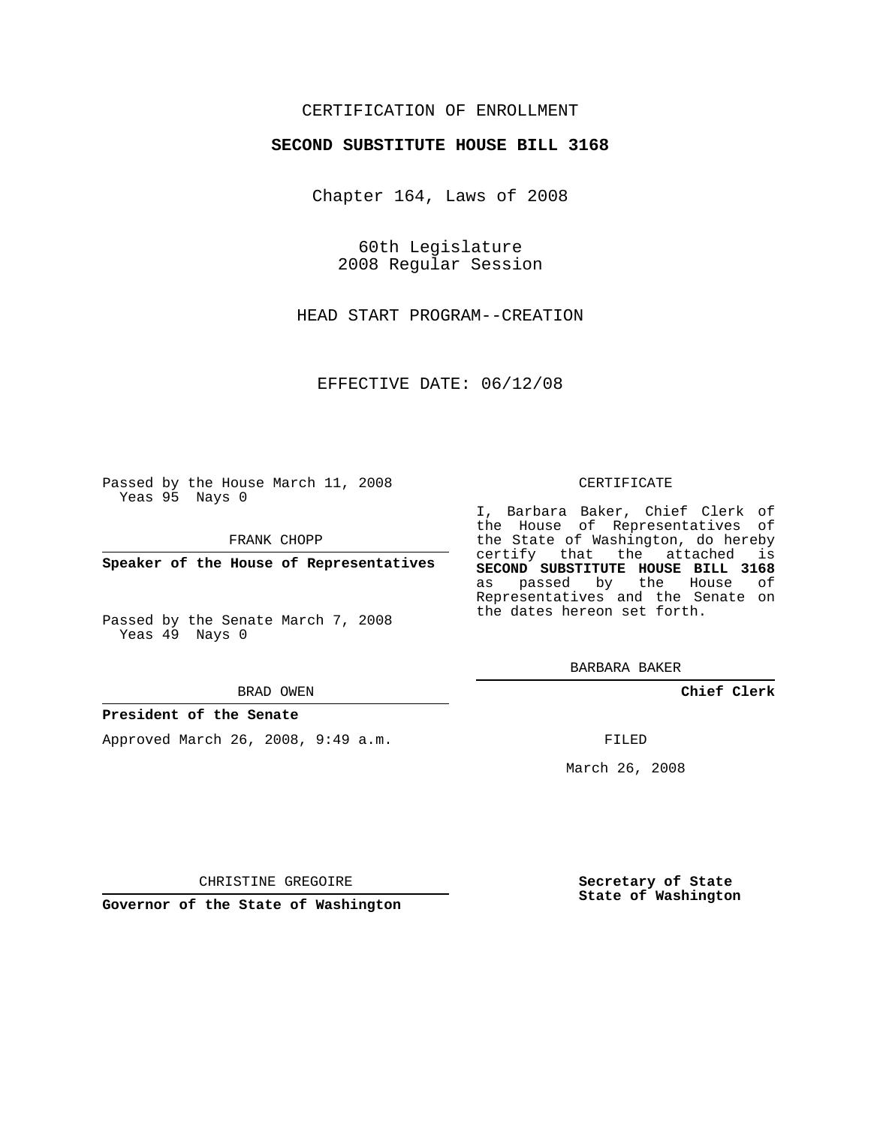## CERTIFICATION OF ENROLLMENT

### **SECOND SUBSTITUTE HOUSE BILL 3168**

Chapter 164, Laws of 2008

60th Legislature 2008 Regular Session

HEAD START PROGRAM--CREATION

EFFECTIVE DATE: 06/12/08

Passed by the House March 11, 2008 Yeas 95 Nays 0

FRANK CHOPP

**Speaker of the House of Representatives**

Passed by the Senate March 7, 2008 Yeas 49 Nays 0

#### BRAD OWEN

## **President of the Senate**

Approved March 26, 2008, 9:49 a.m.

#### CERTIFICATE

I, Barbara Baker, Chief Clerk of the House of Representatives of the State of Washington, do hereby certify that the attached is **SECOND SUBSTITUTE HOUSE BILL 3168** as passed by the House of Representatives and the Senate on the dates hereon set forth.

BARBARA BAKER

**Chief Clerk**

FILED

March 26, 2008

CHRISTINE GREGOIRE

**Governor of the State of Washington**

**Secretary of State State of Washington**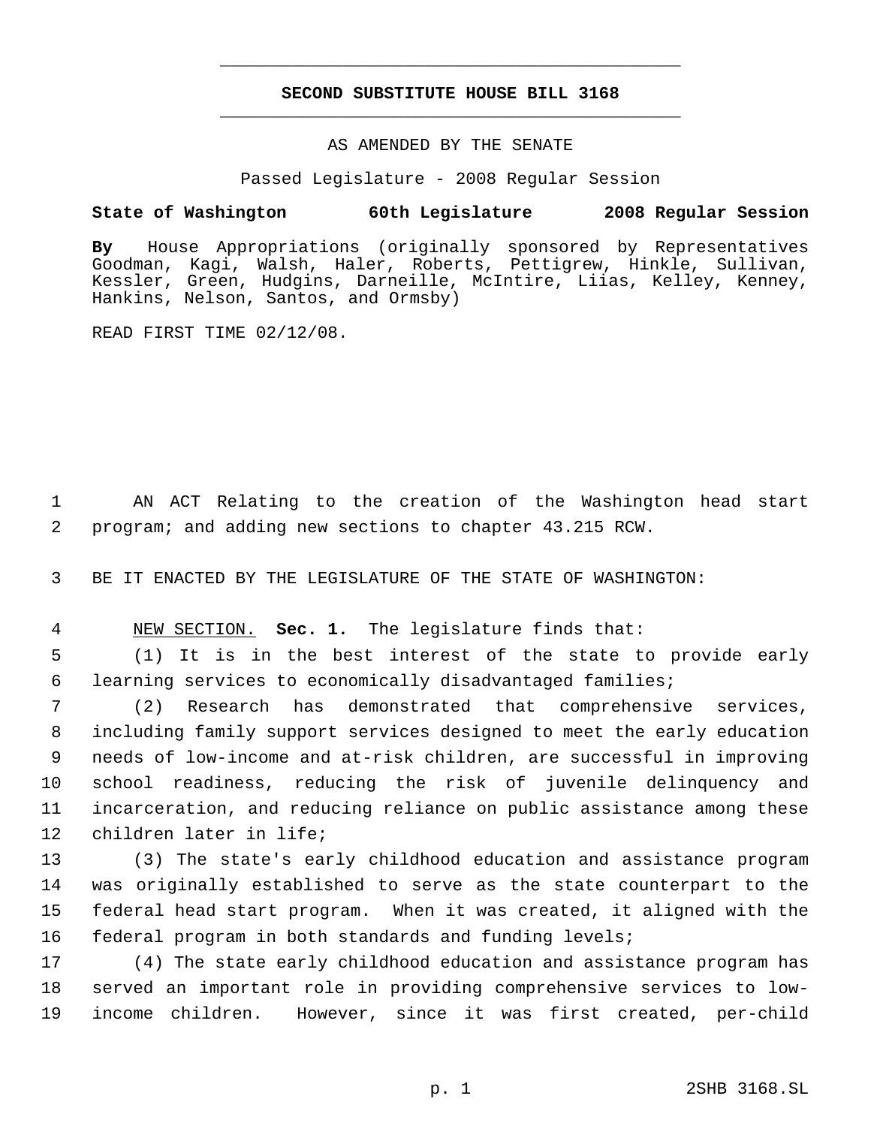# **SECOND SUBSTITUTE HOUSE BILL 3168** \_\_\_\_\_\_\_\_\_\_\_\_\_\_\_\_\_\_\_\_\_\_\_\_\_\_\_\_\_\_\_\_\_\_\_\_\_\_\_\_\_\_\_\_\_

\_\_\_\_\_\_\_\_\_\_\_\_\_\_\_\_\_\_\_\_\_\_\_\_\_\_\_\_\_\_\_\_\_\_\_\_\_\_\_\_\_\_\_\_\_

### AS AMENDED BY THE SENATE

Passed Legislature - 2008 Regular Session

## **State of Washington 60th Legislature 2008 Regular Session**

**By** House Appropriations (originally sponsored by Representatives Goodman, Kagi, Walsh, Haler, Roberts, Pettigrew, Hinkle, Sullivan, Kessler, Green, Hudgins, Darneille, McIntire, Liias, Kelley, Kenney, Hankins, Nelson, Santos, and Ormsby)

READ FIRST TIME 02/12/08.

 AN ACT Relating to the creation of the Washington head start program; and adding new sections to chapter 43.215 RCW.

BE IT ENACTED BY THE LEGISLATURE OF THE STATE OF WASHINGTON:

NEW SECTION. **Sec. 1.** The legislature finds that:

 (1) It is in the best interest of the state to provide early learning services to economically disadvantaged families;

 (2) Research has demonstrated that comprehensive services, including family support services designed to meet the early education needs of low-income and at-risk children, are successful in improving school readiness, reducing the risk of juvenile delinquency and incarceration, and reducing reliance on public assistance among these children later in life;

 (3) The state's early childhood education and assistance program was originally established to serve as the state counterpart to the federal head start program. When it was created, it aligned with the federal program in both standards and funding levels;

 (4) The state early childhood education and assistance program has served an important role in providing comprehensive services to low-income children. However, since it was first created, per-child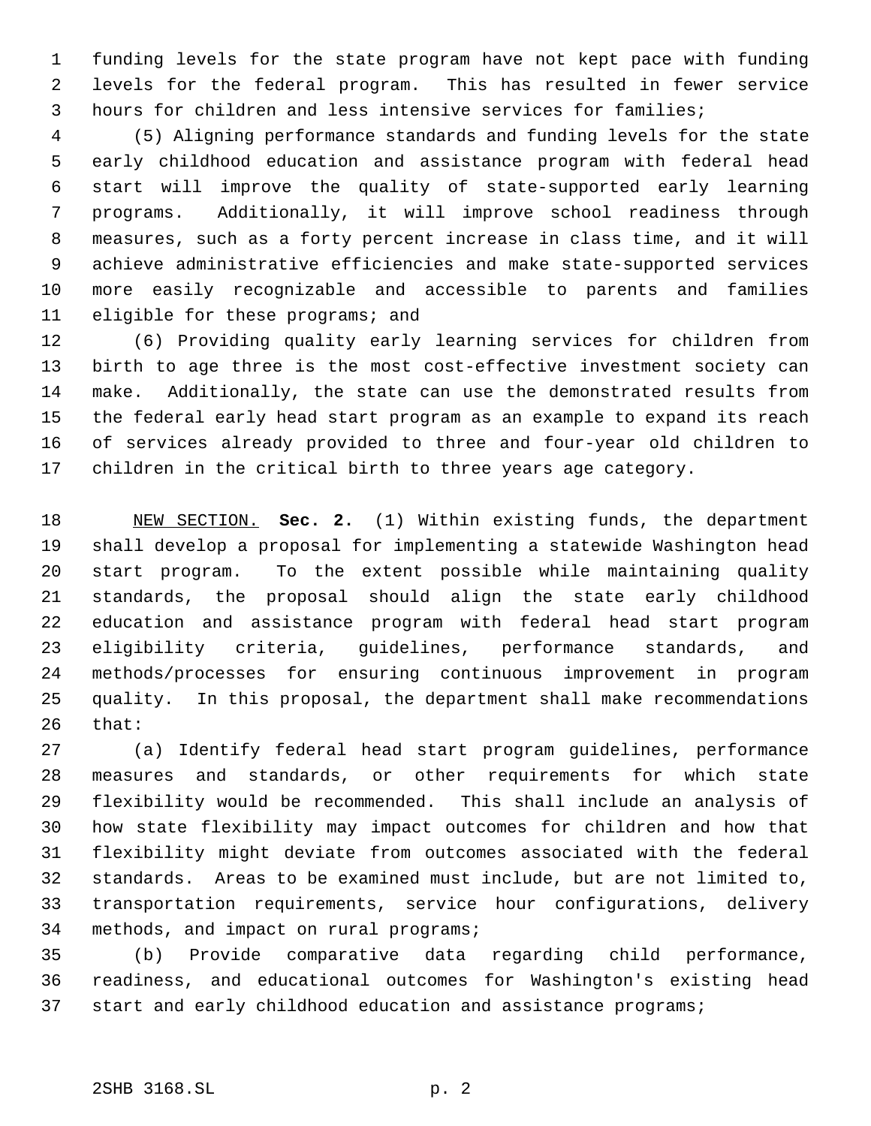funding levels for the state program have not kept pace with funding levels for the federal program. This has resulted in fewer service hours for children and less intensive services for families;

 (5) Aligning performance standards and funding levels for the state early childhood education and assistance program with federal head start will improve the quality of state-supported early learning programs. Additionally, it will improve school readiness through measures, such as a forty percent increase in class time, and it will achieve administrative efficiencies and make state-supported services more easily recognizable and accessible to parents and families eligible for these programs; and

 (6) Providing quality early learning services for children from birth to age three is the most cost-effective investment society can make. Additionally, the state can use the demonstrated results from the federal early head start program as an example to expand its reach of services already provided to three and four-year old children to children in the critical birth to three years age category.

 NEW SECTION. **Sec. 2.** (1) Within existing funds, the department shall develop a proposal for implementing a statewide Washington head start program. To the extent possible while maintaining quality standards, the proposal should align the state early childhood education and assistance program with federal head start program eligibility criteria, guidelines, performance standards, and methods/processes for ensuring continuous improvement in program quality. In this proposal, the department shall make recommendations that:

 (a) Identify federal head start program guidelines, performance measures and standards, or other requirements for which state flexibility would be recommended. This shall include an analysis of how state flexibility may impact outcomes for children and how that flexibility might deviate from outcomes associated with the federal standards. Areas to be examined must include, but are not limited to, transportation requirements, service hour configurations, delivery methods, and impact on rural programs;

 (b) Provide comparative data regarding child performance, readiness, and educational outcomes for Washington's existing head start and early childhood education and assistance programs;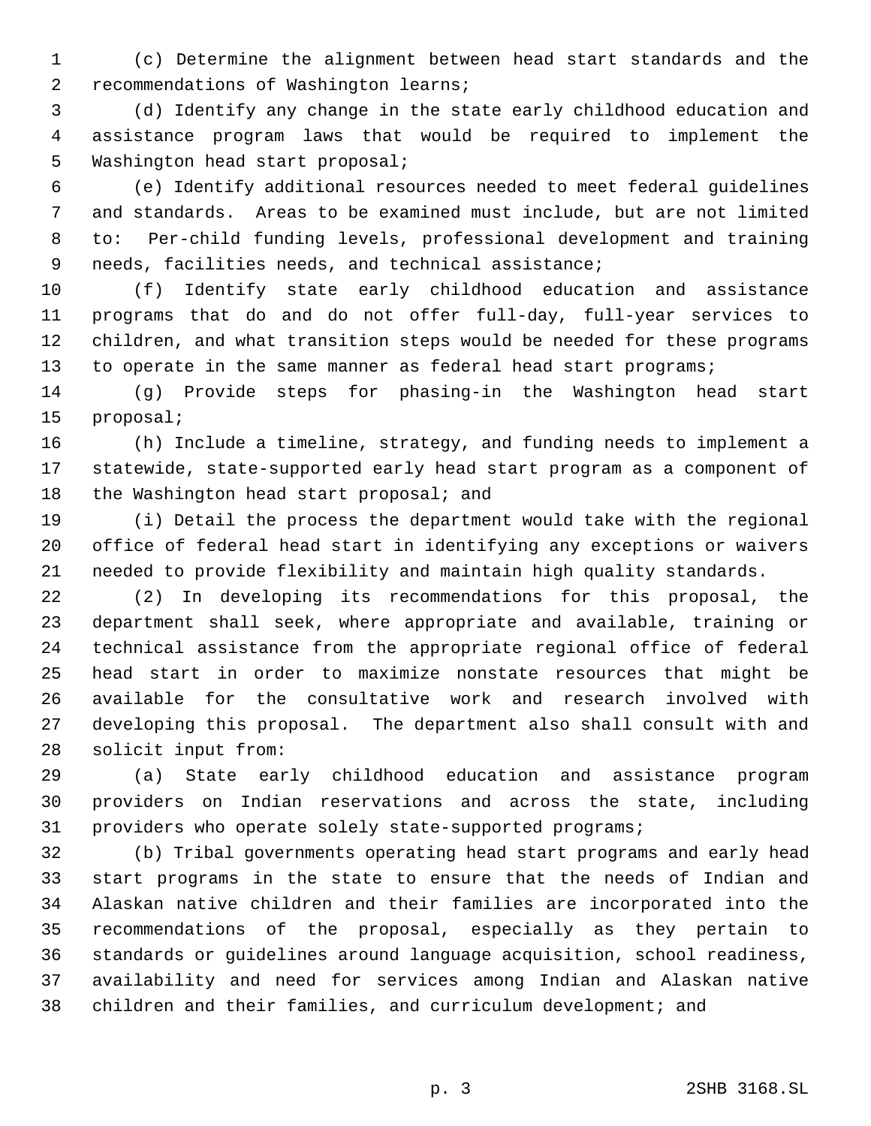(c) Determine the alignment between head start standards and the recommendations of Washington learns;

 (d) Identify any change in the state early childhood education and assistance program laws that would be required to implement the Washington head start proposal;

 (e) Identify additional resources needed to meet federal guidelines and standards. Areas to be examined must include, but are not limited to: Per-child funding levels, professional development and training needs, facilities needs, and technical assistance;

 (f) Identify state early childhood education and assistance programs that do and do not offer full-day, full-year services to children, and what transition steps would be needed for these programs 13 to operate in the same manner as federal head start programs;

 (g) Provide steps for phasing-in the Washington head start proposal;

 (h) Include a timeline, strategy, and funding needs to implement a statewide, state-supported early head start program as a component of 18 the Washington head start proposal; and

 (i) Detail the process the department would take with the regional office of federal head start in identifying any exceptions or waivers needed to provide flexibility and maintain high quality standards.

 (2) In developing its recommendations for this proposal, the department shall seek, where appropriate and available, training or technical assistance from the appropriate regional office of federal head start in order to maximize nonstate resources that might be available for the consultative work and research involved with developing this proposal. The department also shall consult with and solicit input from:

 (a) State early childhood education and assistance program providers on Indian reservations and across the state, including providers who operate solely state-supported programs;

 (b) Tribal governments operating head start programs and early head start programs in the state to ensure that the needs of Indian and Alaskan native children and their families are incorporated into the recommendations of the proposal, especially as they pertain to standards or guidelines around language acquisition, school readiness, availability and need for services among Indian and Alaskan native children and their families, and curriculum development; and